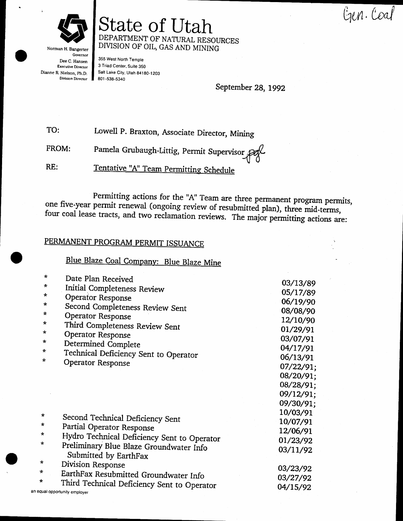Gen. Coal



Norman H. Bangerter Governor Dee C. Hansen **Executive Director** Dianne R. Nielson, Ph.D. **Division Director** 

State of Utah DEPARTMENT OF NATURAL RESOURCES DIVISION OF OIL, GAS AND MINING

355 West North Temple 3 Triad Center, Suite 350 Salt Lake City, Utah 84180-1203 801-538-5340

September 28, 1992

TO: Lowell P. Braxton, Associate Director, Mining

Pamela Grubaugh-Littig, Permit Supervisor FROM:

Tentative "A" Team Permitting Schedule RE:

Permitting actions for the "A" Team are three permanent program permits, one five-year permit renewal (ongoing review of resubmitted plan), three mid-terms, four coal lease tracts, and two reclamation reviews. The major permitting actions are:

## PERMANENT PROGRAM PERMIT ISSUANCE

Blue Blaze Coal Company: Blue Blaze Mine

| $\pi$    | Date Plan Received                                               |           |
|----------|------------------------------------------------------------------|-----------|
| $\star$  | Initial Completeness Review                                      | 03/13/89  |
| $\star$  | <b>Operator Response</b>                                         | 05/17/89  |
| $\star$  | Second Completeness Review Sent                                  | 06/19/90  |
| $\star$  | <b>Operator Response</b>                                         | 08/08/90  |
| ∗        | Third Completeness Review Sent                                   | 12/10/90  |
| $\star$  | Operator Response                                                | 01/29/91  |
| $\star$  | Determined Complete                                              | 03/07/91  |
| *        |                                                                  | 04/17/91  |
| $\star$  | Technical Deficiency Sent to Operator                            | 06/13/91  |
|          | Operator Response                                                | 07/22/91; |
|          |                                                                  | 08/20/91; |
|          |                                                                  | 08/28/91; |
|          |                                                                  | 09/12/91; |
|          |                                                                  | 09/30/91; |
| $\star$  |                                                                  | 10/03/91  |
| $\star$  | Second Technical Deficiency Sent                                 | 10/07/91  |
| $^\star$ | Partial Operator Response                                        | 12/06/91  |
|          | Hydro Technical Deficiency Sent to Operator                      | 01/23/92  |
| ∗        | Preliminary Blue Blaze Groundwater Info<br>Submitted by EarthFax | 03/11/92  |
| *        | Division Response                                                |           |
| *        | EarthFax Resubmitted Groundwater Info                            | 03/23/92  |
| ∗        | Third Technical Deficiency Sent to Operator                      | 03/27/92  |
|          | an equal opportunity employer                                    | 04/15/92  |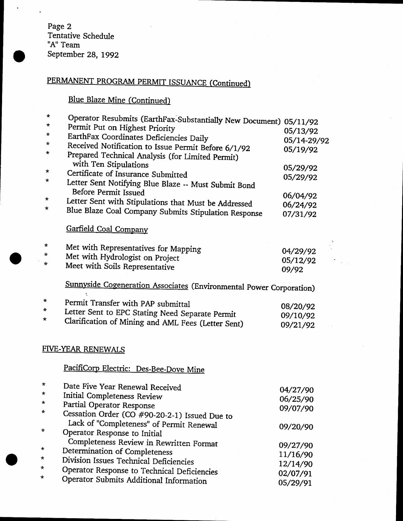Page 2 Tentative Schedule<br>"A" Team September 28, 1992

 $\ddot{\phantom{0}}$ 

 $\star$ 

# PERMANENT PROGRAM PERMIT ISSUANCE (Continued)

# Blue Blaze Mine (Continued)

| *       | Operator Resubmits (EarthFax-Substantially New Document) 05/11/92         |             |
|---------|---------------------------------------------------------------------------|-------------|
| *       | Permit Put on Highest Priority                                            | 05/13/92    |
| *       | EarthFax Coordinates Deficiencies Daily                                   | 05/14-29/92 |
| *       | Received Notification to Issue Permit Before 6/1/92                       | 05/19/92    |
| *       | Prepared Technical Analysis (for Limited Permit)<br>with Ten Stipulations |             |
| *       | Certificate of Insurance Submitted                                        | 05/29/92    |
| *       | Letter Sent Notifying Blue Blaze -- Must Submit Bond                      | 05/29/92    |
|         | <b>Before Permit Issued</b>                                               |             |
| *       | Letter Sent with Stipulations that Must be Addressed                      | 06/04/92    |
| ÷       | Blue Blaze Coal Company Submits Stipulation Response                      | 06/24/92    |
|         |                                                                           | 07/31/92    |
|         | Garfield Coal Company                                                     |             |
| *       | Met with Representatives for Mapping                                      | 04/29/92    |
| $\star$ | Met with Hydrologist on Project                                           | 05/12/92    |
| *       | Meet with Soils Representative                                            | 09/92       |
|         |                                                                           |             |
|         | Sunnyside Cogeneration Associates (Environmental Power Corporation)       |             |
| $\star$ | Permit Transfer with PAP submittal                                        | 08/20/92    |
| $\star$ | Letter Sent to EPC Stating Need Separate Permit                           | 09/10/92    |
| ∗       | Clarification of Mining and AML Fees (Letter Sent)                        | 09/21/92    |
|         |                                                                           |             |
|         | FIVE-YEAR RENEWALS                                                        |             |
|         | PacifiCorp Electric: Des-Bee-Dove Mine                                    |             |
| $\star$ |                                                                           |             |
| $\star$ | Date Five Year Renewal Received                                           | 04/27/90    |
| *       | Initial Completeness Review                                               | 06/25/90    |
| $\star$ | Partial Operator Response                                                 | 09/07/90    |
|         | Cessation Order (CO #90-20-2-1) Issued Due to                             |             |
| *       | Lack of "Completeness" of Permit Renewal                                  | 09/20/90    |
|         | Operator Response to Initial                                              |             |
| *       | Completeness Review in Rewritten Format                                   | 09/27/90    |
| *       | Determination of Completeness                                             | 11/16/90    |
| *       | Division Issues Technical Deficiencies                                    | 12/14/90    |
| ×       | Operator Response to Technical Deficiencies                               | 02/07/91    |
|         | Operator Submits Additional Information                                   | 05/29/91    |
|         |                                                                           |             |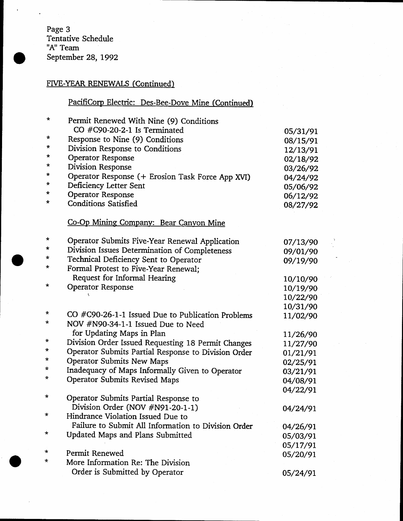Page 3 Tentative Schedule "A" Team September 28, 1992

### FIVE-YEAR RENEWALS (Continued)

## PacifiCorp Electric: Des-Bee-Dove Mine (Continued)

| $\star$ | Permit Renewed With Nine (9) Conditions             |          |
|---------|-----------------------------------------------------|----------|
|         | CO $\#C90-20-2-1$ Is Terminated                     | 05/31/91 |
| *       | Response to Nine (9) Conditions                     | 08/15/91 |
| $\star$ | Division Response to Conditions                     | 12/13/91 |
| *       | <b>Operator Response</b>                            | 02/18/92 |
| *       | <b>Division Response</b>                            | 03/26/92 |
| *       | Operator Response (+ Erosion Task Force App XVI)    | 04/24/92 |
| *       | Deficiency Letter Sent                              | 05/06/92 |
| $\star$ | <b>Operator Response</b>                            | 06/12/92 |
| *       | <b>Conditions Satisfied</b>                         | 08/27/92 |
|         | Co-Op Mining Company: Bear Canyon Mine              |          |
| *       | Operator Submits Five-Year Renewal Application      | 07/13/90 |
| *       | Division Issues Determination of Completeness       | 09/01/90 |
| ∗       | Technical Deficiency Sent to Operator               | 09/19/90 |
| *       | Formal Protest to Five-Year Renewal;                |          |
|         | Request for Informal Hearing                        | 10/10/90 |
| *       | <b>Operator Response</b>                            | 10/19/90 |
|         |                                                     | 10/22/90 |
|         |                                                     | 10/31/90 |
| *       | CO #C90-26-1-1 Issued Due to Publication Problems   | 11/02/90 |
| *       | NOV #N90-34-1-1 Issued Due to Need                  |          |
|         | for Updating Maps in Plan                           | 11/26/90 |
| *       | Division Order Issued Requesting 18 Permit Changes  | 11/27/90 |
| $\star$ | Operator Submits Partial Response to Division Order | 01/21/91 |
| $\star$ | <b>Operator Submits New Maps</b>                    | 02/25/91 |
| *       | Inadequacy of Maps Informally Given to Operator     | 03/21/91 |
| $\star$ | Operator Submits Revised Maps                       | 04/08/91 |
|         |                                                     | 04/22/91 |
| *       | Operator Submits Partial Response to                |          |
|         | Division Order (NOV #N91-20-1-1)                    | 04/24/91 |
| *       | Hindrance Violation Issued Due to                   |          |
|         | Failure to Submit All Information to Division Order | 04/26/91 |
| ∗       | Updated Maps and Plans Submitted                    | 05/03/91 |
|         |                                                     | 05/17/91 |
| *       | Permit Renewed                                      | 05/20/91 |
| *       | More Information Re: The Division                   |          |
|         | Order is Submitted by Operator                      | 05/24/91 |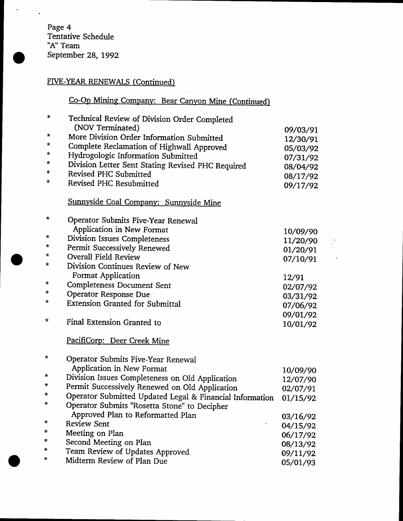## FIVE-YEAR RENEWALS (Continued)

## Co-Op Mining Company: Bear Canyon Mine (Continued)

| *        | Technical Review of Division Order Completed             |          |
|----------|----------------------------------------------------------|----------|
|          | (NOV Terminated)                                         | 09/03/91 |
| $^\star$ | More Division Order Information Submitted                | 12/30/91 |
| *        | Complete Reclamation of Highwall Approved                | 05/03/92 |
| *        | Hydrogologic Information Submitted                       | 07/31/92 |
| *        | Division Letter Sent Stating Revised PHC Required        | 08/04/92 |
| *        | Revised PHC Submitted                                    | 08/17/92 |
| *        | Revised PHC Resubmitted                                  | 09/17/92 |
|          | Sunnyside Coal Company: Sunnyside Mine                   |          |
| *        | <b>Operator Submits Five-Year Renewal</b>                |          |
|          | Application in New Format                                | 10/09/90 |
| *        | Division Issues Completeness                             | 11/20/90 |
| $\star$  | Permit Successively Renewed                              | 01/20/91 |
| *        | <b>Overall Field Review</b>                              | 07/10/91 |
| *        | Division Continues Review of New                         |          |
|          | Format Application                                       | 12/91    |
| $\star$  | Completeness Document Sent                               | 02/07/92 |
| *        | Operator Response Due                                    | 03/31/92 |
| $\star$  | <b>Extension Granted for Submittal</b>                   | 07/06/92 |
|          |                                                          | 09/01/92 |
| $\star$  | Final Extension Granted to                               | 10/01/92 |
|          | PacifiCorp: Deer Creek Mine                              |          |
| $^\star$ | Operator Submits Five-Year Renewal                       |          |
|          | Application in New Format                                | 10/09/90 |
| $\ast$   | Division Issues Completeness on Old Application          | 12/07/90 |
| $\star$  | Permit Successively Renewed on Old Application           | 02/07/91 |
| *        | Operator Submitted Updated Legal & Financial Information | 01/15/92 |
| *        | Operator Submits "Rosetta Stone" to Decipher             |          |
| $\star$  | Approved Plan to Reformatted Plan                        | 03/16/92 |
| *        | <b>Review Sent</b>                                       | 04/15/92 |
| *        | Meeting on Plan                                          | 06/17/92 |
| *        | Second Meeting on Plan                                   | 08/13/92 |
| ∗        | Team Review of Updates Approved                          | 09/11/92 |
|          | Midterm Review of Plan Due                               | 05/01/93 |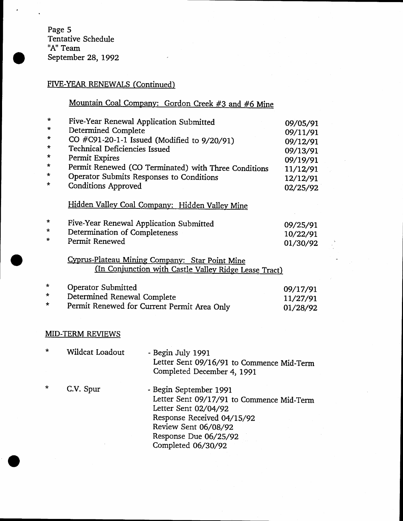Page 5<br>Tentative Schedule "A" Team September 28, 1992

### FIVE-YEAR RENEWALS (Continued)

# Mountain Coal Company: Gordon Creek #3 and #6 Mine

| $\star$<br>* | Five-Year Renewal Application Submitted  |                                                                                                         | 09/05/91 |
|--------------|------------------------------------------|---------------------------------------------------------------------------------------------------------|----------|
| *            | Determined Complete                      | CO #C91-20-1-1 Issued (Modified to 9/20/91)                                                             | 09/11/91 |
| $\star$      | Technical Deficiencies Issued            |                                                                                                         | 09/12/91 |
| $\star$      | Permit Expires                           |                                                                                                         | 09/13/91 |
| $\star$      |                                          |                                                                                                         | 09/19/91 |
| $\star$      |                                          | Permit Renewed (CO Terminated) with Three Conditions                                                    | 11/12/91 |
| *            | Operator Submits Responses to Conditions |                                                                                                         | 12/12/91 |
|              | <b>Conditions Approved</b>               |                                                                                                         | 02/25/92 |
|              |                                          | Hidden Valley Coal Company: Hidden Valley Mine                                                          |          |
| *            | Five-Year Renewal Application Submitted  |                                                                                                         | 09/25/91 |
| *            | Determination of Completeness            |                                                                                                         | 10/22/91 |
| *            | Permit Renewed                           |                                                                                                         | 01/30/92 |
|              |                                          |                                                                                                         |          |
|              |                                          | Cyprus-Plateau Mining Company: Star Point Mine<br>(In Conjunction with Castle Valley Ridge Lease Tract) |          |
| *            | <b>Operator Submitted</b>                |                                                                                                         | 09/17/91 |
| *            | Determined Renewal Complete              |                                                                                                         | 11/27/91 |
| ÷            |                                          | Permit Renewed for Current Permit Area Only                                                             | 01/28/92 |
|              |                                          |                                                                                                         |          |
|              | <b>MID-TERM REVIEWS</b>                  |                                                                                                         |          |
| *            | Wildcat Loadout                          | - Begin July 1991                                                                                       |          |
|              |                                          | Letter Sent 09/16/91 to Commence Mid-Term                                                               |          |
|              |                                          | Completed December 4, 1991                                                                              |          |
|              |                                          |                                                                                                         |          |
| $\star$      | C.V. Spur                                | - Begin September 1991                                                                                  |          |
|              |                                          | Letter Sent 09/17/91 to Commence Mid-Term                                                               |          |
|              |                                          | Letter Sent 02/04/92                                                                                    |          |
|              |                                          | Response Received 04/15/92                                                                              |          |
|              |                                          | Review Sent 06/08/92                                                                                    |          |
|              |                                          | Response Due 06/25/92                                                                                   |          |
|              |                                          | Completed 06/30/92                                                                                      |          |
|              |                                          |                                                                                                         |          |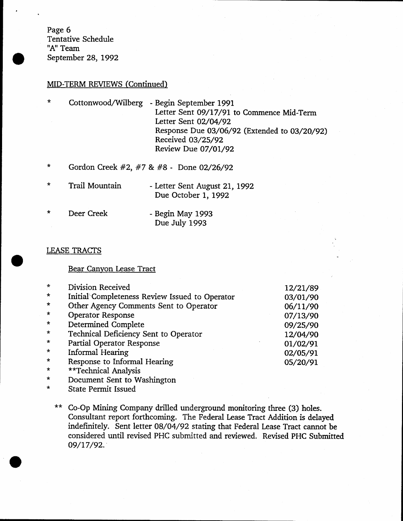Page 6 Tentative Schedule "A" Team September 28, 1992

#### MID-TERM REVIEWS (Continued)

| $\star$ | Cottonwood/Wilberg - Begin September 1991    |
|---------|----------------------------------------------|
|         | Letter Sent 09/17/91 to Commence Mid-Term    |
|         | Letter Sent 02/04/92                         |
|         | Response Due 03/06/92 (Extended to 03/20/92) |
|         | Received 03/25/92                            |
|         | Review Due 07/01/92                          |

- \* Gordon Creek #2, #7 & #8 Done 02/26/92
- \* Trail Mountain - Letter Sent August 21, 1992 Due October 1, 1992

| $\star$ | Deer Creek | - Begin May 1993 |
|---------|------------|------------------|
|         |            | Due July 1993    |

#### LEASE TRACTS

#### Bear Canyon Lease Tract

| $\star$      | Division Received                                                                                                                                             | 12/21/89 |
|--------------|---------------------------------------------------------------------------------------------------------------------------------------------------------------|----------|
| $\star$      | Initial Completeness Review Issued to Operator                                                                                                                | 03/01/90 |
| $\star$      | Other Agency Comments Sent to Operator                                                                                                                        | 06/11/90 |
| $\star$      | <b>Operator Response</b>                                                                                                                                      | 07/13/90 |
| $\star$      | Determined Complete                                                                                                                                           | 09/25/90 |
| $\star$      | Technical Deficiency Sent to Operator                                                                                                                         | 12/04/90 |
| $\star$      | Partial Operator Response                                                                                                                                     | 01/02/91 |
| $\star$      | Informal Hearing                                                                                                                                              | 02/05/91 |
| $\star$      | Response to Informal Hearing                                                                                                                                  | 05/20/91 |
| $\mathbf{a}$ | $\frac{1}{2}$ , $\frac{1}{2}$ , $\frac{1}{2}$ , $\frac{1}{2}$ , $\frac{1}{2}$ , $\frac{1}{2}$ , $\frac{1}{2}$ , $\frac{1}{2}$ , $\frac{1}{2}$ , $\frac{1}{2}$ |          |

- \*\*Technical Analysis
- $\star$ Document Sent to Washington

 $\star$ State Permit lssued

Co-Op Mining Company drilled underground monitoring three (3) holes. Consultant report forthcoming. The Federal Lease Traet Addition is delayed indefinitely. Sent letter 08/04/92 stating that Federal Lease Tract cannot be considered until revised PHC submitted and reviewed. Revised PHC Submitted a9/17/92.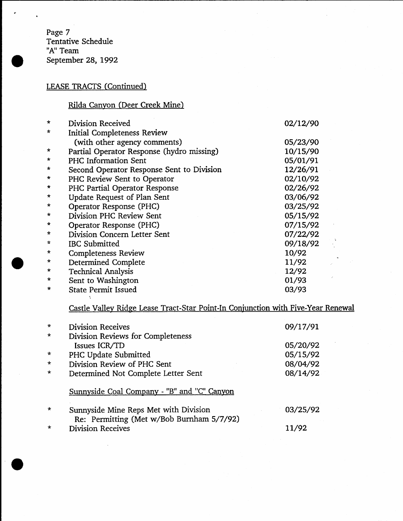Page 7 Tentative Schedule<br>"A" Team September 28, 1992

### LEASE TRACTS (Continued)

### Rilda Canyon (Deer Creek Mine)

| Division Received            | 02/12/90                                                                                                                                                                                                                                                                                                                                                                                                                  |
|------------------------------|---------------------------------------------------------------------------------------------------------------------------------------------------------------------------------------------------------------------------------------------------------------------------------------------------------------------------------------------------------------------------------------------------------------------------|
|                              |                                                                                                                                                                                                                                                                                                                                                                                                                           |
|                              | 05/23/90                                                                                                                                                                                                                                                                                                                                                                                                                  |
|                              | 10/15/90                                                                                                                                                                                                                                                                                                                                                                                                                  |
| PHC Information Sent         | 05/01/91                                                                                                                                                                                                                                                                                                                                                                                                                  |
|                              | 12/26/91                                                                                                                                                                                                                                                                                                                                                                                                                  |
|                              | 02/10/92                                                                                                                                                                                                                                                                                                                                                                                                                  |
|                              | 02/26/92                                                                                                                                                                                                                                                                                                                                                                                                                  |
|                              | 03/06/92                                                                                                                                                                                                                                                                                                                                                                                                                  |
|                              | 03/25/92                                                                                                                                                                                                                                                                                                                                                                                                                  |
| Division PHC Review Sent     | 05/15/92                                                                                                                                                                                                                                                                                                                                                                                                                  |
|                              | 07/15/92                                                                                                                                                                                                                                                                                                                                                                                                                  |
| Division Concern Letter Sent | 07/22/92                                                                                                                                                                                                                                                                                                                                                                                                                  |
| <b>IBC</b> Submitted         | 09/18/92                                                                                                                                                                                                                                                                                                                                                                                                                  |
|                              | 10/92                                                                                                                                                                                                                                                                                                                                                                                                                     |
|                              | 11/92                                                                                                                                                                                                                                                                                                                                                                                                                     |
|                              | 12/92                                                                                                                                                                                                                                                                                                                                                                                                                     |
|                              | 01/93                                                                                                                                                                                                                                                                                                                                                                                                                     |
| <b>State Permit Issued</b>   | 03/93                                                                                                                                                                                                                                                                                                                                                                                                                     |
|                              | <b>Initial Completeness Review</b><br>(with other agency comments)<br>Partial Operator Response (hydro missing)<br>Second Operator Response Sent to Division<br>PHC Review Sent to Operator<br>PHC Partial Operator Response<br>Update Request of Plan Sent<br>Operator Response (PHC)<br>Operator Response (PHC)<br><b>Completeness Review</b><br>Determined Complete<br><b>Technical Analysis</b><br>Sent to Washington |

Castle Valley Ridge Lease Tract-Star Point-In Conjunction with Five-Year Renewal

| $\star$ | <b>Division Receives</b>                                                           | 09/17/91 |
|---------|------------------------------------------------------------------------------------|----------|
| $\star$ | Division Reviews for Completeness                                                  |          |
|         | Issues ICR/TD                                                                      | 05/20/92 |
| $\star$ | PHC Update Submitted                                                               | 05/15/92 |
| $\star$ | Division Review of PHC Sent                                                        | 08/04/92 |
| $\star$ | Determined Not Complete Letter Sent                                                | 08/14/92 |
|         | Sunnyside Coal Company - "B" and "C" Canyon                                        |          |
| $\star$ | Sunnyside Mine Reps Met with Division<br>Re: Permitting (Met w/Bob Burnham 5/7/92) | 03/25/92 |
|         | <b>Division Receives</b>                                                           | 11/92    |